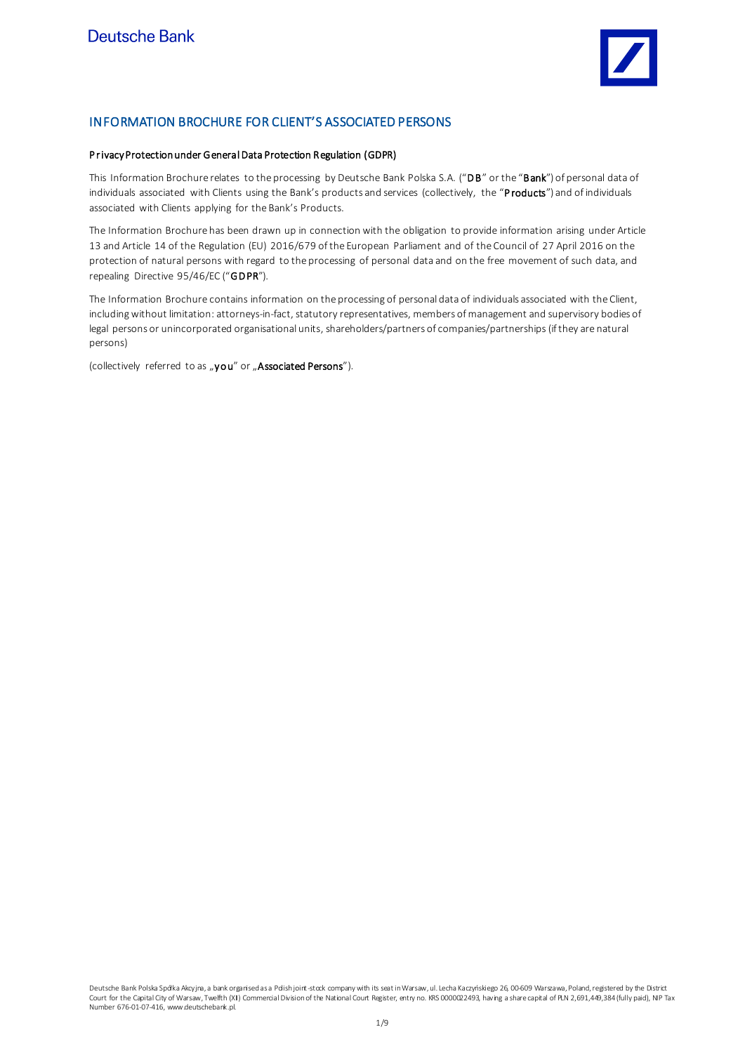

# INFORMATION BROCHURE FOR CLIENT'S ASSOCIATED PERSONS

## P rivacy Protection under General Data Protection Regulation (GDPR)

This Information Brochure relates to the processing by Deutsche Bank Polska S.A. ("DB" or the "Bank") of personal data of individuals associated with Clients using the Bank's products and services (collectively, the "Products") and of individuals associated with Clients applying for the Bank's Products.

The Information Brochure has been drawn up in connection with the obligation to provide information arising under Article 13 and Article 14 of the Regulation (EU) 2016/679 of the European Parliament and of the Council of 27 April 2016 on the protection of natural persons with regard to the processing of personal data and on the free movement of such data, and repealing Directive 95/46/EC ("GDPR").

The Information Brochure contains information on the processing of personal data of individuals associated with the Client, including without limitation: attorneys-in-fact, statutory representatives, members of management and supervisory bodies of legal persons or unincorporated organisational units, shareholders/partners of companies/partnerships (if they are natural persons)

(collectively referred to as "you" or "Associated Persons").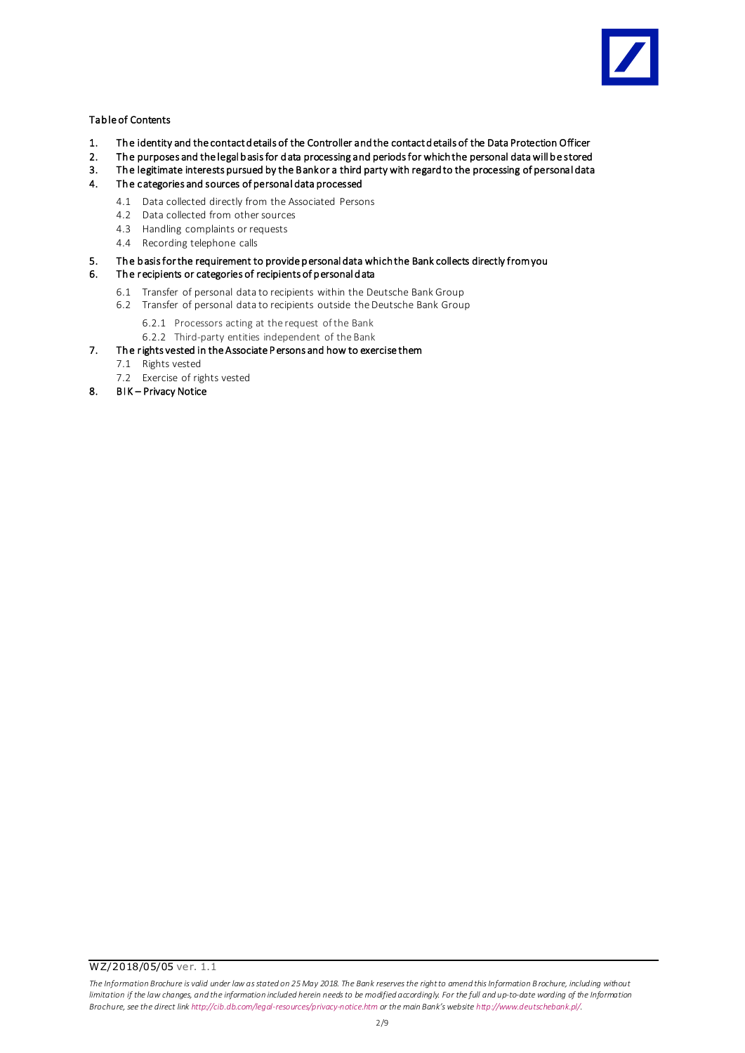

## Tab le of Contents

- 1. The identity and the contact d etails of the Controller and the contact d etails of the Data Protection Officer
- 2. The purposes and the legal basis for data processing and periods for which the personal data will be stored<br>3. The legitimate interests pursued by the Bankor a third party with regard to the processing of personal data
- 3. The legitimate interests pursued by the Bank or a third party with regard to the processing of personal data<br>4. The categories and sources of personal data processed
- The categories and sources of personal data processed
	- 4.1 Data collected directly from the Associated Persons
	- 4.2 Data collected from other sources
	- 4.3 Handling complaints or requests
	- 4.4 Recording telephone calls
- 5. Th e b asis for the requirement to provide p ersonal data which the Bank collects directly from you

## 6. Th e recipients or categories of recipients of p ersonal d ata

- 6.1 Transfer of personal data to recipients within the Deutsche Bank Group
- 6.2 Transfer of personal data to recipients outside the Deutsche Bank Group
	- 6.2.1 Processors acting at the request of the Bank
	- 6.2.2 Third-party entities independent of the Bank
- 7. The rights vested in the Associate P ersons and how to exercise them
	- 7.1 Rights vested
	- 7.2 Exercise of rights vested
- 8. BIK Privacy Notice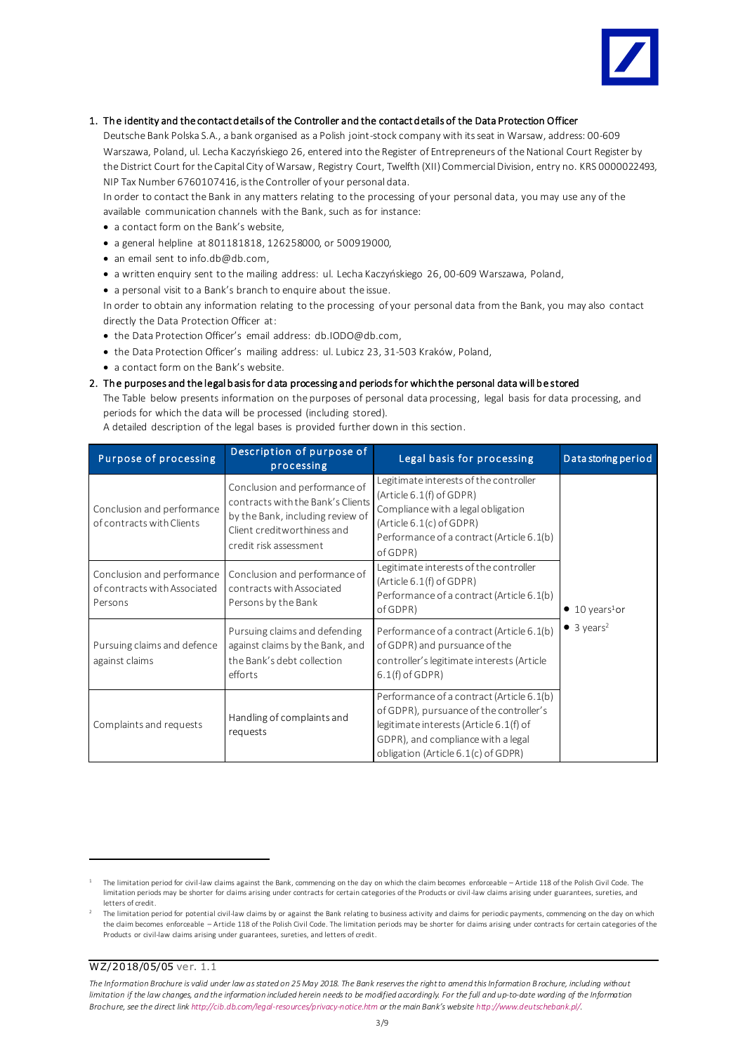

## 1. Th e identity and the contact d etails of the Controller and the contact d etails of the Data Protection Officer

Deutsche Bank Polska S.A., a bank organised as a Polish joint-stock company with its seat in Warsaw, address: 00-609 Warszawa, Poland, ul. Lecha Kaczyńskiego 26, entered into the Register of Entrepreneurs of the National Court Register by the District Court for the Capital City of Warsaw, Registry Court, Twelfth (XII) Commercial Division, entry no. KRS 0000022493, NIP Tax Number 6760107416, is the Controller of your personal data.

In order to contact the Bank in any matters relating to the processing of your personal data, you may use any of the available communication channels with the Bank, such as for instance:

- a contact form on the Bank's website,
- a general helpline at 801181818, 126258000, or 500919000,
- an email sent to info.db@db.com,
- a written enquiry sent to the mailing address: ul. Lecha Kaczyńskiego 26, 00-609 Warszawa, Poland,
- a personal visit to a Bank's branch to enquire about the issue.

In order to obtain any information relating to the processing of your personal data from the Bank, you may also contact directly the Data Protection Officer at:

- the Data Protection Officer's email address[: db.IODO@db.com,](mailto:db.IODO@db.com)
- the Data Protection Officer's mailing address: ul. Lubicz 23, 31-503 Kraków, Poland,
- a contact form on the Bank's website.

### 2. The purposes and the legal b asis for d ata processing and periods for which the personal data will be stored

The Table below presents information on the purposes of personal data processing, legal basis for data processing, and periods for which the data will be processed (including stored).

A detailed description of the legal bases is provided further down in this section.

| <b>Purpose of processing</b>                                          | Description of purpose of<br>processing                                                                                                                         | Legal basis for processing                                                                                                                                                                                   | Data storing period                                                  |
|-----------------------------------------------------------------------|-----------------------------------------------------------------------------------------------------------------------------------------------------------------|--------------------------------------------------------------------------------------------------------------------------------------------------------------------------------------------------------------|----------------------------------------------------------------------|
| Conclusion and performance<br>of contracts with Clients               | Conclusion and performance of<br>contracts with the Bank's Clients<br>by the Bank, including review of<br>Client creditworthiness and<br>credit risk assessment | Legitimate interests of the controller<br>(Article 6.1(f) of GDPR)<br>Compliance with a legal obligation<br>(Article 6.1(c) of GDPR)<br>Performance of a contract (Article 6.1(b)<br>of GDPR)                | $\bullet$ 10 years <sup>1</sup> or<br>$\bullet$ 3 years <sup>2</sup> |
| Conclusion and performance<br>of contracts with Associated<br>Persons | Conclusion and performance of<br>contracts with Associated<br>Persons by the Bank                                                                               | Legitimate interests of the controller<br>(Article 6.1(f) of GDPR)<br>Performance of a contract (Article 6.1(b)<br>of GDPR)                                                                                  |                                                                      |
| Pursuing claims and defence<br>against claims                         | Pursuing claims and defending<br>against claims by the Bank, and<br>the Bank's debt collection<br>efforts                                                       | Performance of a contract (Article 6.1(b)<br>of GDPR) and pursuance of the<br>controller's legitimate interests (Article<br>$6.1(f)$ of GDPR)                                                                |                                                                      |
| Complaints and requests                                               | Handling of complaints and<br>requests                                                                                                                          | Performance of a contract (Article 6.1(b)<br>of GDPR), pursuance of the controller's<br>legitimate interests (Article 6.1(f) of<br>GDPR), and compliance with a legal<br>obligation (Article 6.1(c) of GDPR) |                                                                      |

WZ/2018/05/05 ver. 1.1

-

The Information Brochure is valid under law as stated on 25 May 2018. The Bank reserves the right to amend this Information B rochure, including without limitation if the law changes, and the information included herein needs to be modified accordinaly. For the full and up-to-date wording of the Information *Brochure, see the direct li[nk http://cib.db.com/legal-resources/privacy-notice.htm](http://cib.db.com/legal-resources/privacy-notice.htm) or the main Bank's website <http://www.deutschebank.pl/>.*

<sup>1</sup> The limitation period for civil-law claims against the Bank, commencing on the day on which the claim becomes enforceable – Article 118 of the Polish Civil Code. The limitation periods may be shorter for claims arising under contracts for certain categories of the Products or civil-law claims arising under guarantees, sureties, and letters of credit.

<sup>2</sup> The limitation period for potential civil-law claims by or against the Bank relating to business activity and claims for periodic payments, commencing on the day on which the claim becomes enforceable – Article 118 of the Polish Civil Code. The limitation periods may be shorter for claims arising under contracts for certain categories of the Products or civil-law claims arising under guarantees, sureties, and letters of credit.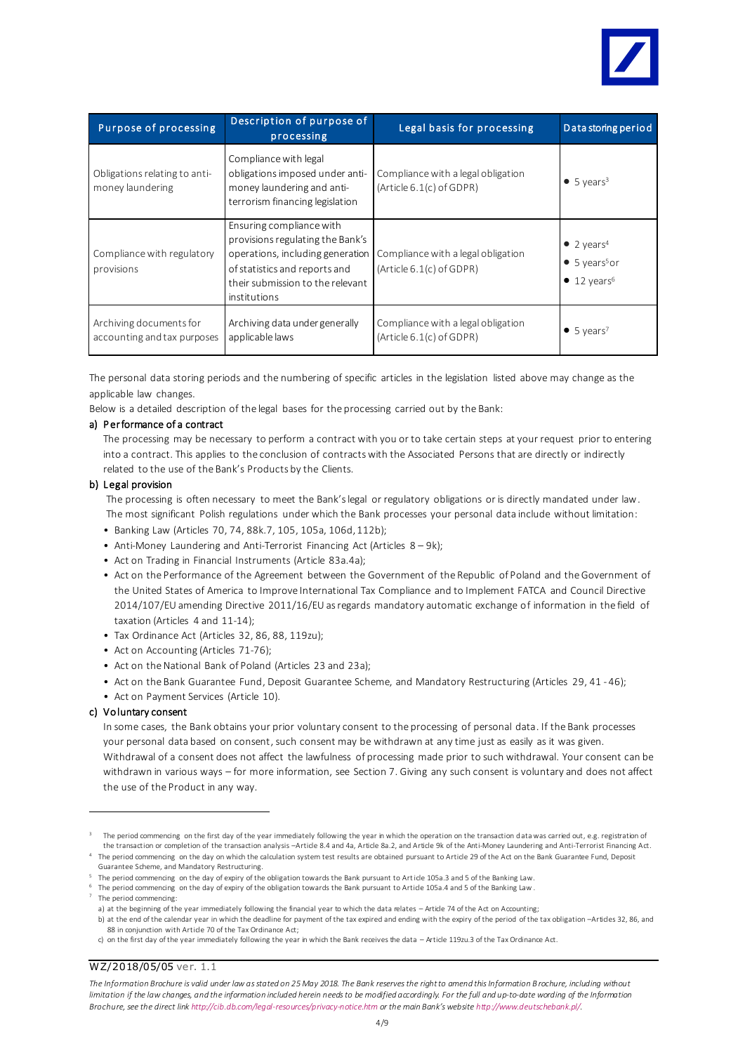

| <b>Purpose of processing</b>                           | Description of purpose of<br>processing                                                                                                                                               | Legal basis for processing                                     | Data storing period                                                                            |
|--------------------------------------------------------|---------------------------------------------------------------------------------------------------------------------------------------------------------------------------------------|----------------------------------------------------------------|------------------------------------------------------------------------------------------------|
| Obligations relating to anti-<br>money laundering      | Compliance with legal<br>obligations imposed under anti-<br>money laundering and anti-<br>terrorism financing legislation                                                             | Compliance with a legal obligation<br>(Article 6.1(c) of GDPR) | $\bullet$ 5 years <sup>3</sup>                                                                 |
| Compliance with regulatory<br>provisions               | Ensuring compliance with<br>provisions regulating the Bank's<br>operations, including generation<br>of statistics and reports and<br>their submission to the relevant<br>institutions | Compliance with a legal obligation<br>(Article 6.1(c) of GDPR) | • 2 years <sup>4</sup><br>$\bullet$ 5 years <sup>5</sup> or<br>$\bullet$ 12 years <sup>6</sup> |
| Archiving documents for<br>accounting and tax purposes | Archiving data under generally<br>applicable laws                                                                                                                                     | Compliance with a legal obligation<br>(Article 6.1(c) of GDPR) | $\bullet$ 5 years <sup>7</sup>                                                                 |

The personal data storing periods and the numbering of specific articles in the legislation listed above may change as the applicable law changes.

Below is a detailed description of the legal bases for the processing carried out by the Bank:

## a) Performance of a contract

The processing may be necessary to perform a contract with you or to take certain steps at your request prior to entering into a contract. This applies to the conclusion of contractswith the Associated Persons that are directly or indirectly related to the use of the Bank's Products by the Clients.

## b) Legal provision

The processing is often necessary to meet the Bank's legal or regulatory obligations or is directly mandated under law. The most significant Polish regulations under which the Bank processes your personal data include without limitation:

- Banking Law (Articles 70, 74, 88k.7, 105, 105a, 106d,112b);
- Anti-Money Laundering and Anti-Terrorist Financing Act (Articles 8 9k);
- Act on Trading in Financial Instruments (Article 83a.4a);
- Act on the Performance of the Agreement between the Government of the Republic of Poland and the Government of the United States of America to Improve International Tax Compliance and to Implement FATCA and Council Directive 2014/107/EU amending Directive 2011/16/EU as regards mandatory automatic exchange of information in the field of taxation (Articles 4 and 11-14);
- Tax Ordinance Act (Articles 32, 86, 88, 119zu);
- Act on Accounting (Articles 71-76);
- Act on the National Bank of Poland (Articles 23 and 23a);
- Act on the Bank Guarantee Fund, Deposit Guarantee Scheme, and Mandatory Restructuring (Articles 29, 41 46);
- Act on Payment Services (Article 10).

## c) Vo luntary consent

In some cases, the Bank obtains your prior voluntary consent to the processing of personal data. If the Bank processes your personal data based on consent, such consent may be withdrawn at any time just as easily as it was given. Withdrawal of a consent does not affect the lawfulness of processing made prior to such withdrawal. Your consent can be withdrawn in various ways – for more information, see Section 7. Giving any such consent is voluntary and does not affect the use of the Product in any way.

4 The period commencing on the day on which the calculation system test results are obtained pursuant to Article 29 of the Act on the Bank Guarantee Fund, Deposit Guarantee Scheme, and Mandatory Restructuring.

 $5$  The period commencing on the day of expiry of the obligation towards the Bank pursuant to Article 105a.3 and 5 of the Banking Law.

6 The period commencing on the day of expiry of the obligation towards the Bank pursuant to Article 105a.4 and 5 of the Banking Law. 7

The period commencing:

-

a) at the beginning of the year immediately following the financial year to which the data relates – Article 74 of the Act on Accounting; b) at the end of the calendar year in which the deadline for payment of the tax expired and ending with the expiry of the period of the tax obligation –Articles 32, 86, and 88 in conjunction with Article 70 of the Tax Ordinance Act;

WZ/2018/05/05 ver. 1.1

The Information Brochure is valid under law as stated on 25 May 2018. The Bank reserves the right to amend this Information B rochure, including without limitation if the law changes, and the information included herein needs to be modified accordingly. For the full and up-to-date wording of the Information *Brochure, see the direct li[nk http://cib.db.com/legal-resources/privacy-notice.htm](http://cib.db.com/legal-resources/privacy-notice.htm) or the main Bank's website <http://www.deutschebank.pl/>.*

<sup>3</sup> The period commencing on the first day of the year immediately following the year in which the operation on the transaction data was carried out, e.g. registration of the transaction or completion of the transaction analysis -Article 8.4 and 4a, Article 8a.2, and Article 9k of the Anti-Money Laundering and Anti-Terrorist Financing Act.

c) on the first day of the year immediately following the year in which the Bank receives the data – Article 119zu.3 of the Tax Ordinance Act.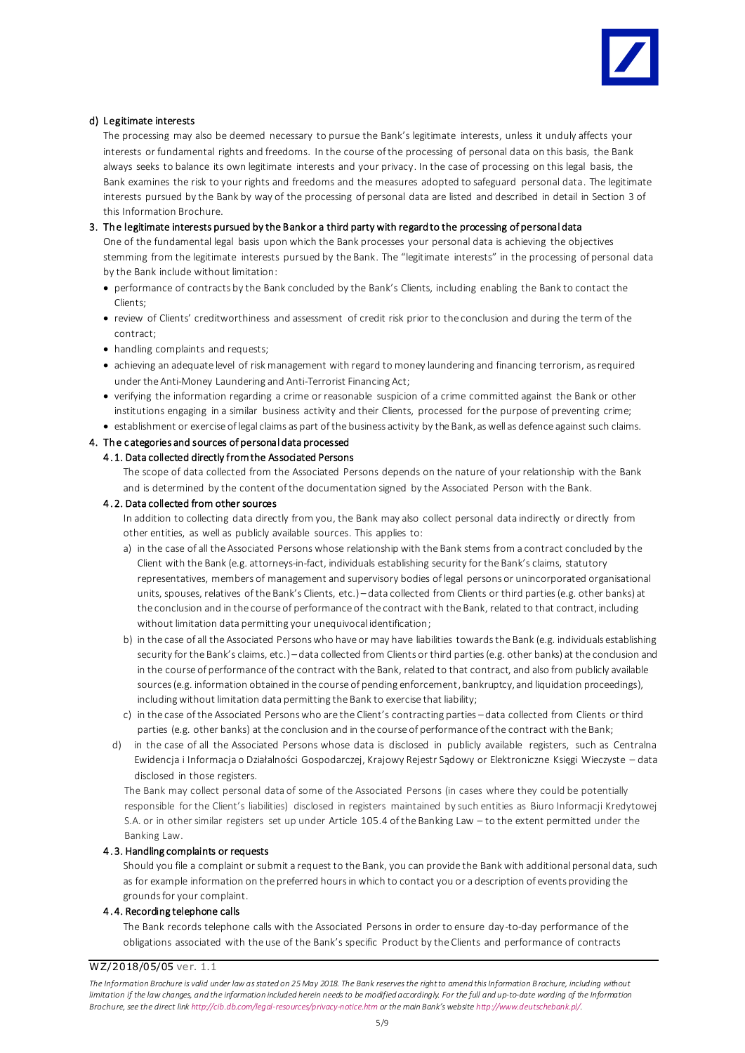

## d) Legitimate interests

The processing may also be deemed necessary to pursue the Bank's legitimate interests, unless it unduly affects your interests or fundamental rights and freedoms. In the course of the processing of personal data on this basis, the Bank always seeks to balance its own legitimate interests and your privacy. In the case of processing on this legal basis, the Bank examines the risk to your rights and freedoms and the measures adopted to safeguard personal data. The legitimate interests pursued by the Bank by way of the processing of personal data are listed and described in detail in Section 3 of this Information Brochure.

## 3. Th e legitimate interests pursued by the Bank or a third party with regard to the processing of personal data

One of the fundamental legal basis upon which the Bank processes your personal data is achieving the objectives stemming from the legitimate interests pursued by the Bank. The "legitimate interests" in the processing of personal data by the Bank include without limitation:

- performance of contracts by the Bank concluded by the Bank's Clients, including enabling the Bank to contact the Clients;
- review of Clients' creditworthiness and assessment of credit risk prior to the conclusion and during the term of the contract;
- handling complaints and requests;
- achieving an adequate level of risk management with regard to money laundering and financing terrorism, as required under the Anti-Money Laundering and Anti-Terrorist Financing Act;
- verifying the information regarding a crime or reasonable suspicion of a crime committed against the Bank or other institutions engaging in a similar business activity and their Clients, processed for the purpose of preventing crime;
- establishment or exercise of legal claims as part of the business activity by the Bank, as well as defence against such claims.

## 4. Th e c ategories and sources of personal data processed

## 4 . 1. Data collected directly from the Associated Persons

The scope of data collected from the Associated Persons depends on the nature of your relationship with the Bank and is determined by the content of the documentation signed by the Associated Person with the Bank.

## 4 . 2. Data collected from other sources

In addition to collecting data directly from you, the Bank may also collect personal data indirectly or directly from other entities, as well as publicly available sources. This applies to:

- a) in the case of all the Associated Persons whose relationship with the Bank stems from a contract concluded by the Client with the Bank (e.g. attorneys-in-fact, individuals establishing security for the Bank's claims, statutory representatives, members of management and supervisory bodies of legal persons or unincorporated organisational units, spouses, relatives of the Bank's Clients, etc.) – data collected from Clients or third parties (e.g. other banks) at the conclusion and in the course of performance of the contract with the Bank, related to that contract, including without limitation data permitting your unequivocal identification;
- b) in the case of all the Associated Persons who have or may have liabilities towards the Bank (e.g. individuals establishing security for the Bank's claims, etc.) – data collected from Clients or third parties (e.g. other banks) at the conclusion and in the course of performance of the contract with the Bank, related to that contract, and also from publicly available sources (e.g. information obtained in the course of pending enforcement, bankruptcy, and liquidation proceedings), including without limitation data permitting the Bank to exercise that liability;
- c) in the case of the Associated Persons who are the Client's contracting parties data collected from Clients or third parties (e.g. other banks) at the conclusion and in the course of performance of the contract with the Bank;
- d) in the case of all the Associated Persons whose data is disclosed in publicly available registers, such as Centralna Ewidencja i Informacja o Działalności Gospodarczej, Krajowy Rejestr Sądowy or Elektroniczne Księgi Wieczyste – data disclosed in those registers.

The Bank may collect personal data of some of the Associated Persons (in cases where they could be potentially responsible for the Client's liabilities) disclosed in registers maintained by such entities as Biuro Informacji Kredytowej S.A. or in other similar registers set up under Article 105.4 of the Banking Law – to the extent permitted under the Banking Law.

## 4 .3. Handling complaints or requests

Should you file a complaint or submit a request to the Bank, you can provide the Bank with additional personal data, such as for example information on the preferred hours in which to contact you or a description of events providing the grounds for your complaint.

#### 4 .4. Recording telephone calls

The Bank records telephone calls with the Associated Persons in order to ensure day-to-day performance of the obligations associated with the use of the Bank's specific Product by the Clients and performance of contracts

WZ/2018/05/05 ver. 1.1

The Information Brochure is valid under law as stated on 25 May 2018. The Bank reserves the right to amend this Information B rochure, including without *limitation if the law changes, and the information included herein needs to be modified accordingly. For the full and up-to-date wording of the Information Brochure, see the direct li[nk http://cib.db.com/legal-resources/privacy-notice.htm](http://cib.db.com/legal-resources/privacy-notice.htm) or the main Bank's website <http://www.deutschebank.pl/>.*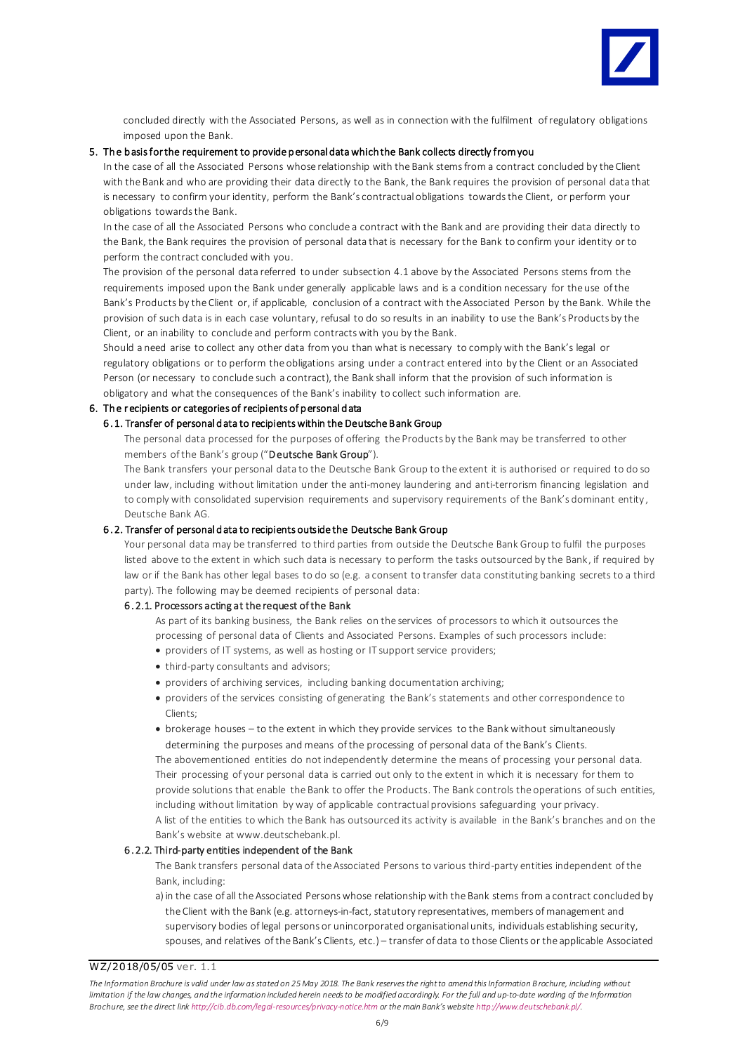

concluded directly with the Associated Persons, as well as in connection with the fulfilment of regulatory obligations imposed upon the Bank.

### 5. Th e b asis for the requirement to provide p ersonal data which the Bank collects directly from you

In the case of all the Associated Persons whose relationship with the Bank stems from a contract concluded by the Client with the Bank and who are providing their data directly to the Bank, the Bank requires the provision of personal data that is necessary to confirm your identity, perform the Bank's contractual obligations towards the Client, or perform your obligations towards the Bank.

In the case of all the Associated Persons who conclude a contract with the Bank and are providing their data directly to the Bank, the Bank requires the provision of personal data that is necessary for the Bank to confirm your identity or to perform the contract concluded with you.

The provision of the personal data referred to under subsection 4.1 above by the Associated Persons stems from the requirements imposed upon the Bank under generally applicable laws and is a condition necessary for the use of the Bank's Products by the Client or, if applicable, conclusion of a contract with the Associated Person by the Bank. While the provision of such data is in each case voluntary, refusal to do so results in an inability to use the Bank's Products by the Client, or an inability to conclude and perform contracts with you by the Bank.

Should a need arise to collect any other data from you than what is necessary to comply with the Bank's legal or regulatory obligations or to perform the obligations arsing under a contract entered into by the Client or an Associated Person (or necessary to conclude such a contract), the Bank shall inform that the provision of such information is obligatory and what the consequences of the Bank's inability to collect such information are.

## 6. Th e recipients or categories of recipients of p ersonal d ata

### 6 .1. Transfer of personal d ata to recipients within the Deutsche Bank Group

The personal data processed for the purposes of offering the Products by the Bank may be transferred to other members of the Bank's group ("Deutsche Bank Group").

The Bank transfers your personal data to the Deutsche Bank Group to the extent it is authorised or required to do so under law, including without limitation under the anti-money laundering and anti-terrorism financing legislation and to comply with consolidated supervision requirements and supervisory requirements of the Bank's dominant entity, Deutsche Bank AG.

### 6 .2. Transfer of personal d ata to recipients outside the Deutsche Bank Group

Your personal data may be transferred to third parties from outside the Deutsche Bank Group to fulfil the purposes listed above to the extent in which such data is necessary to perform the tasks outsourced by the Bank, if required by law or if the Bank has other legal bases to do so (e.g. a consent to transfer data constituting banking secrets to a third party). The following may be deemed recipients of personal data:

## 6 .2.1. Processors acting at the request of the Bank

As part of its banking business, the Bank relies on the services of processors to which it outsources the processing of personal data of Clients and Associated Persons. Examples of such processors include:

- providers of IT systems, as well as hosting or IT support service providers;
- third-party consultants and advisors;
- providers of archiving services, including banking documentation archiving;
- providers of the services consisting of generating the Bank's statements and other correspondence to Clients;
- brokerage houses to the extent in which they provide services to the Bank without simultaneously determining the purposes and means of the processing of personal data of the Bank's Clients.

The abovementioned entities do not independently determine the means of processing your personal data. Their processing of your personal data is carried out only to the extent in which it is necessary for them to provide solutions that enable the Bank to offer the Products. The Bank controls the operations of such entities, including without limitation by way of applicable contractual provisions safeguarding your privacy. A list of the entities to which the Bank has outsourced its activity is available in the Bank's branches and on the Bank's website at www.deutschebank.pl.

#### 6 . 2.2. Third-party entities independent of the Bank

The Bank transfers personal data of the Associated Persons to various third-party entities independent of the Bank, including:

a) in the case of all the Associated Persons whose relationship with the Bank stems from a contract concluded by the Client with the Bank (e.g. attorneys-in-fact, statutory representatives, members of management and supervisory bodies of legal persons or unincorporated organisational units, individuals establishing security, spouses, and relatives of the Bank's Clients, etc.) – transfer of data to those Clients or the applicable Associated

WZ/2018/05/05 ver. 1.1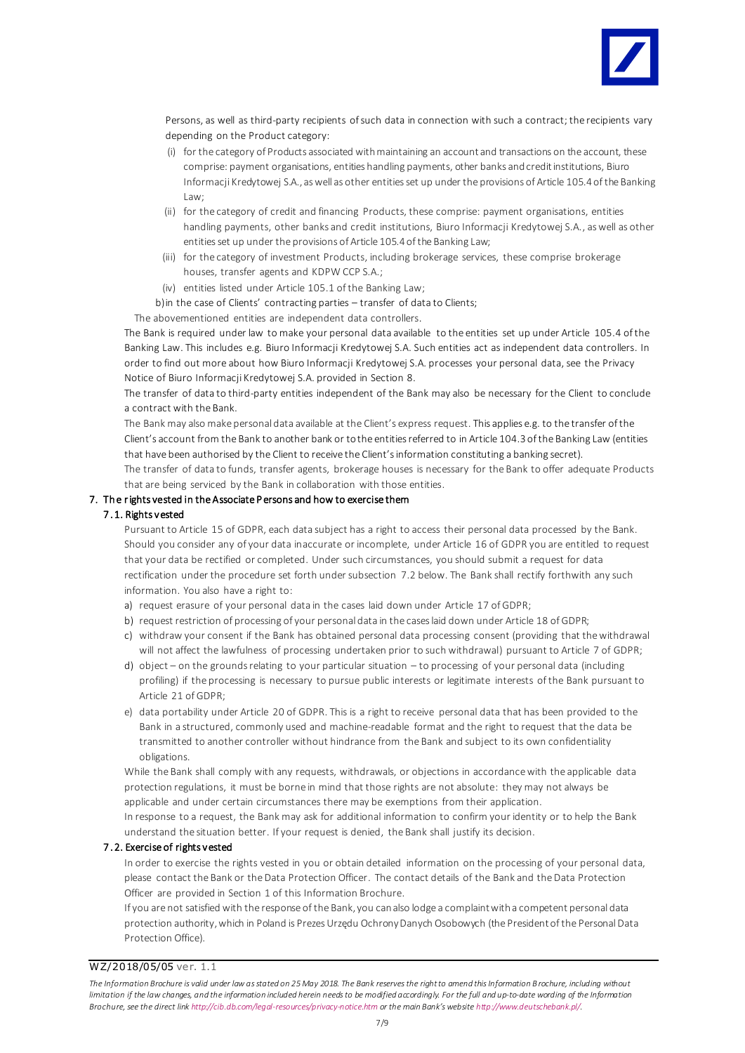

Persons, as well as third-party recipients of such data in connection with such a contract; the recipients vary depending on the Product category:

- (i) for the category of Products associated with maintaining an account and transactions on the account, these comprise: payment organisations, entities handling payments, other banks and credit institutions, Biuro Informacji Kredytowej S.A., as well as other entities set up under the provisions of Article 105.4 of the Banking Law;
- (ii) for the category of credit and financing Products, these comprise: payment organisations, entities handling payments, other banks and credit institutions, Biuro Informacji Kredytowej S.A., as well as other entities set up under the provisions of Article 105.4 of the Banking Law;
- (iii) for the category of investment Products, including brokerage services, these comprise brokerage houses, transfer agents and KDPW CCP S.A.;
- (iv) entities listed under Article 105.1 of the Banking Law;
- b)in the case of Clients' contracting parties transfer of data to Clients;

The abovementioned entities are independent data controllers.

The Bank is required under law to make your personal data available to the entities set up under Article 105.4 of the Banking Law. This includes e.g. Biuro Informacji Kredytowej S.A. Such entities act as independent data controllers. In order to find out more about how Biuro Informacji Kredytowej S.A. processes your personal data, see the Privacy Notice of Biuro Informacji Kredytowej S.A. provided in Section 8.

The transfer of data to third-party entities independent of the Bank may also be necessary for the Client to conclude a contract with the Bank.

The Bank may also make personal data available at the Client's express request. This applies e.g. to the transfer of the Client's account from the Bank to another bank or to the entities referred to in Article 104.3of the Banking Law (entities that have been authorised by the Client to receive the Client's information constituting a banking secret).

The transfer of data to funds, transfer agents, brokerage houses is necessary for the Bank to offer adequate Products that are being serviced by the Bank in collaboration with those entities.

## 7. The rights vested in the Associate P ersons and how to exercise them

### 7 .1. Rights vested

Pursuant to Article 15 of GDPR, each data subject has a right to access their personal data processed by the Bank. Should you consider any of your data inaccurate or incomplete, under Article 16 of GDPR you are entitled to request that your data be rectified or completed. Under such circumstances, you should submit a request for data rectification under the procedure set forth under subsection 7.2 below. The Bank shall rectify forthwith any such information. You also have a right to:

- a) request erasure of your personal data in the cases laid down under Article 17 ofGDPR;
- b) request restriction of processing of your personal data in the cases laid down under Article 18 of GDPR;
- c) withdraw your consent if the Bank has obtained personal data processing consent (providing that the withdrawal will not affect the lawfulness of processing undertaken prior to such withdrawal) pursuant to Article 7 of GDPR;
- d) object on the grounds relating to your particular situation to processing of your personal data (including profiling) if the processing is necessary to pursue public interests or legitimate interests of the Bank pursuant to Article 21 of GDPR;
- e) data portability under Article 20 of GDPR. This is a right to receive personal data that has been provided to the Bank in a structured, commonly used and machine-readable format and the right to request that the data be transmitted to another controller without hindrance from the Bank and subject to its own confidentiality obligations.

While the Bank shall comply with any requests, withdrawals, or objections in accordance with the applicable data protection regulations, it must be borne in mind that those rights are not absolute: they may not always be applicable and under certain circumstances there may be exemptions from their application.

In response to a request, the Bank may ask for additional information to confirm your identity or to help the Bank understand the situation better. If your request is denied, the Bank shall justify its decision.

### 7 .2. Exercise of rights vested

In order to exercise the rights vested in you or obtain detailed information on the processing of your personal data, please contact the Bank or the Data Protection Officer. The contact details of the Bank and the Data Protection Officer are provided in Section 1 of this Information Brochure.

If you are not satisfied with the response of the Bank, you can also lodge a complaint with a competent personal data protection authority, which in Poland is Prezes Urzędu Ochrony Danych Osobowych (the President of the Personal Data Protection Office).

## WZ/2018/05/05 ver. 1.1

The Information Brochure is valid under law as stated on 25 May 2018. The Bank reserves the right to amend this Information B rochure, including without *limitation if the law changes, and the information included herein needs to be modified accordingly. For the full and up-to-date wording of the Information Brochure, see the direct li[nk http://cib.db.com/legal-resources/privacy-notice.htm](http://cib.db.com/legal-resources/privacy-notice.htm) or the main Bank's website <http://www.deutschebank.pl/>.*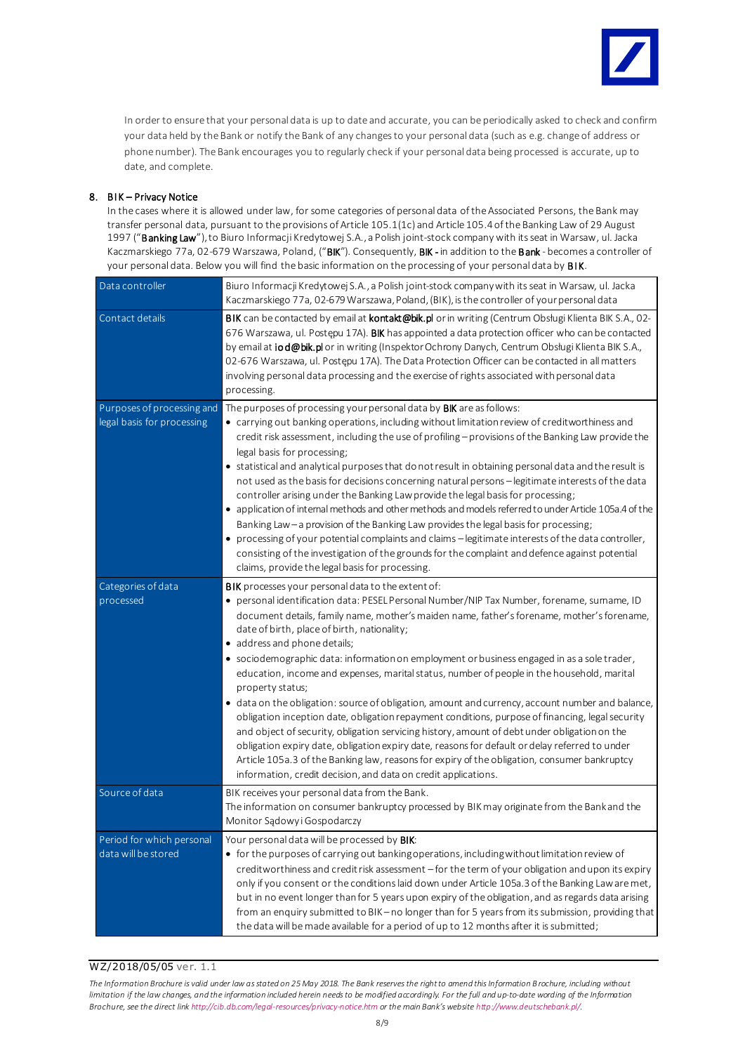

In order to ensure that your personal data is up to date and accurate, you can be periodically asked to check and confirm your data held by the Bank or notify the Bank of any changes to your personal data (such as e.g. change of address or phone number). The Bank encourages you to regularly check if your personal data being processed is accurate, up to date, and complete.

## 8. BIK - Privacy Notice

In the cases where it is allowed under law, for some categories of personal data of the Associated Persons, the Bank may transfer personal data, pursuant to the provisions of Article 105.1(1c) and Article 105.4 of the Banking Law of 29 August 1997 ("Banking Law"), to Biuro Informacji Kredytowej S.A., a Polish joint-stock company with its seat in Warsaw, ul. Jacka Kaczmarskiego 77a, 02-679 Warszawa, Poland, ("BIK"). Consequently, BIK - in addition to the Bank - becomes a controller of your personal data. Below you will find the basic information on the processing of your personal data by BIK.

| Data controller                                          | Biuro Informacji Kredytowej S.A., a Polish joint-stock company with its seat in Warsaw, ul. Jacka<br>Kaczmarskiego 77a, 02-679 Warszawa, Poland, (BIK), is the controller of your personal data                                                                                                                                                                                                                                                                                                                                                                                                                                                                                                                                                                                                                                                                                                                                                                                                                                                                                                                                   |
|----------------------------------------------------------|-----------------------------------------------------------------------------------------------------------------------------------------------------------------------------------------------------------------------------------------------------------------------------------------------------------------------------------------------------------------------------------------------------------------------------------------------------------------------------------------------------------------------------------------------------------------------------------------------------------------------------------------------------------------------------------------------------------------------------------------------------------------------------------------------------------------------------------------------------------------------------------------------------------------------------------------------------------------------------------------------------------------------------------------------------------------------------------------------------------------------------------|
| Contact details                                          | BIK can be contacted by email at <b>kontakt@bik.pl</b> or in writing (Centrum Obsługi Klienta BIK S.A., 02-<br>676 Warszawa, ul. Postępu 17A). BIK has appointed a data protection officer who can be contacted<br>by email at iod@bik.pl or in writing (Inspektor Ochrony Danych, Centrum Obsługi Klienta BIK S.A.,<br>02-676 Warszawa, ul. Postępu 17A). The Data Protection Officer can be contacted in all matters<br>involving personal data processing and the exercise of rights associated with personal data<br>processing.                                                                                                                                                                                                                                                                                                                                                                                                                                                                                                                                                                                              |
| Purposes of processing and<br>legal basis for processing | The purposes of processing your personal data by BIK are as follows:<br>• carrying out banking operations, including without limitation review of creditworthiness and<br>credit risk assessment, including the use of profiling - provisions of the Banking Law provide the<br>legal basis for processing;<br>• statistical and analytical purposes that do not result in obtaining personal data and the result is<br>not used as the basis for decisions concerning natural persons - legitimate interests of the data<br>controller arising under the Banking Law provide the legal basis for processing;<br>• application of internal methods and other methods and models referred to under Article 105a.4 of the<br>Banking Law - a provision of the Banking Law provides the legal basis for processing;<br>• processing of your potential complaints and claims - legitimate interests of the data controller,<br>consisting of the investigation of the grounds for the complaint and defence against potential<br>claims, provide the legal basis for processing.                                                      |
| Categories of data<br>processed                          | <b>BIK</b> processes your personal data to the extent of:<br>• personal identification data: PESEL Personal Number/NIP Tax Number, forename, sumame, ID<br>document details, family name, mother's maiden name, father's forename, mother's forename,<br>date of birth, place of birth, nationality;<br>• address and phone details;<br>· sociodemographic data: information on employment or business engaged in as a sole trader,<br>education, income and expenses, marital status, number of people in the household, marital<br>property status;<br>• data on the obligation: source of obligation, amount and currency, account number and balance,<br>obligation inception date, obligation repayment conditions, purpose of financing, legal security<br>and object of security, obligation servicing history, amount of debt under obligation on the<br>obligation expiry date, obligation expiry date, reasons for default or delay referred to under<br>Article 105a.3 of the Banking law, reasons for expiry of the obligation, consumer bankruptcy<br>information, credit decision, and data on credit applications. |
| Source of data                                           | BIK receives your personal data from the Bank.<br>The information on consumer bankruptcy processed by BIK may originate from the Bank and the<br>Monitor Sądowy i Gospodarczy                                                                                                                                                                                                                                                                                                                                                                                                                                                                                                                                                                                                                                                                                                                                                                                                                                                                                                                                                     |
| Period for which personal<br>data will be stored         | Your personal data will be processed by BIK:<br>• for the purposes of carrying out banking operations, including without limitation review of<br>creditworthiness and credit risk assessment - for the term of your obligation and upon its expiry<br>only if you consent or the conditions laid down under Article 105a.3 of the Banking Law are met,<br>but in no event longer than for 5 years upon expiry of the obligation, and as regards data arising<br>from an enquiry submitted to BIK-no longer than for 5 years from its submission, providing that<br>the data will be made available for a period of up to 12 months after it is submitted;                                                                                                                                                                                                                                                                                                                                                                                                                                                                         |

## WZ/2018/05/05 ver. 1.1

*The Information Brochure is valid under law as stated on 25 May 2018. The Bank reserves the right to amend this Information B rochure, including without limitation if the law changes, and the information included herein needs to be modified accordingly. For the full and up-to-date wording of the Information Brochure, see the direct li[nk http://cib.db.com/legal-resources/privacy-notice.htm](http://cib.db.com/legal-resources/privacy-notice.htm) or the main Bank's website <http://www.deutschebank.pl/>.*